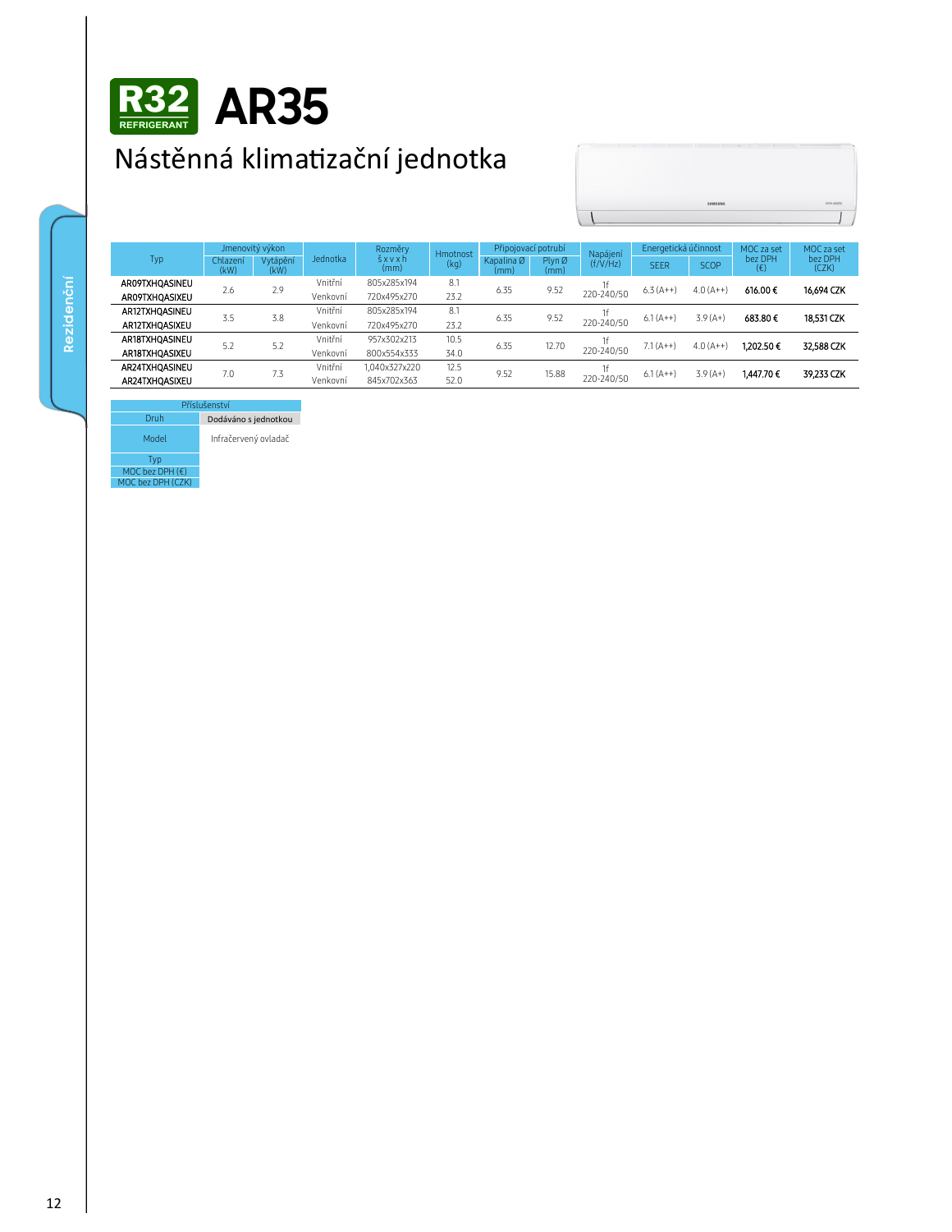

## Nástěnná klimatizační jednotka



| Typ            | Jmenovitý výkon  |                  |          | Rozměry       | <b>Hmotnost</b> | Připojovací potrubí |                | Napájení         | Energetická účinnost |             | MOC za set              | MOC za set       |
|----------------|------------------|------------------|----------|---------------|-----------------|---------------------|----------------|------------------|----------------------|-------------|-------------------------|------------------|
|                | Chlazení<br>(kW) | Vytápění<br>(kW) | Jednotka | šxvxh<br>(mm) | (kq)            | Kapalina Ø<br>(mm)  | Plyn Ø<br>(mm) | (f/V/Hz)         | <b>SEER</b>          | <b>SCOP</b> | bez DPH<br>$(\epsilon)$ | bez DPH<br>(CZK) |
| AR09TXHOASINEU | 2.6              | 2.9              | Vnitřní  | 805x285x194   | 8.1             | 6.35                | 9.52           | 1f<br>220-240/50 | $6.3(A++)$           | $4.0(A++)$  | 616.00€                 | 16,694 CZK       |
| AR09TXHQASIXEU |                  |                  | Venkovní | 720x495x270   | 23.2            |                     |                |                  |                      |             |                         |                  |
| AR12TXHOASINEU | 3.5              | 3.8              | Vnitřní  | 805x285x194   | 8.1             | 6.35                | 9.52           | 1f<br>220-240/50 | $6.1(A++)$           | $3.9(A+)$   | 683.80€                 | 18,531 CZK       |
| AR12TXHOASIXEU |                  |                  | Venkovní | 720x495x270   | 23.2            |                     |                |                  |                      |             |                         |                  |
| AR18TXHOASINEU | 5.2              | 5.2              | Vnitřní  | 957x302x213   | 10.5            | 6.35                | 12.70          | 1f<br>220-240/50 | $7.1(A++)$           | $4.0(A++)$  | 1.202.50€               | 32,588 CZK       |
| AR18TXHOASIXEU |                  |                  | Venkovní | 800x554x333   | 34.0            |                     |                |                  |                      |             |                         |                  |
| AR24TXHOASINEU | 7.0              | 7.3              | Vnitřní  | 1.040x327x220 | 12.5            | 9.52                | 15.88          | 1f<br>220-240/50 | $6.1(A++)$           | $3.9(A+)$   | 1,447.70€               | 39 233 CZK       |
| AR24TXHOASIXEU |                  |                  | Venkovní | 845x702x363   | 52.0            |                     |                |                  |                      |             |                         |                  |

## Pří Druh

Dodáváno s jednotkou Model Infračervený ovladač

Typ MOC bez DPH  $(\epsilon)$ MOC bez DPH (CZK)